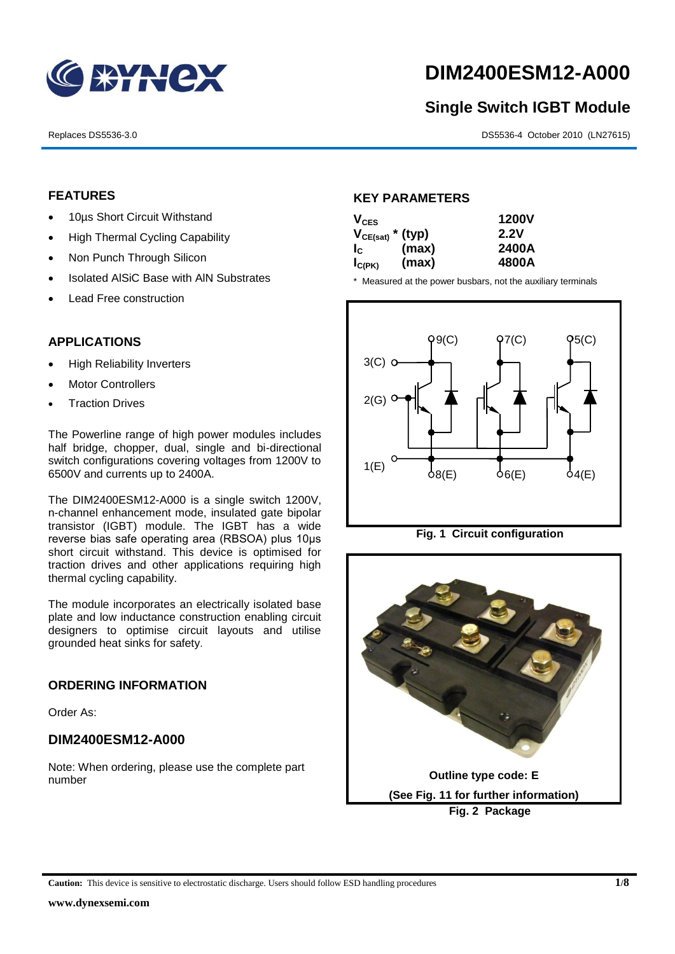

# **DIM2400ESM12-A000**

# **Single Switch IGBT Module**

Replaces DS5536-3.0 DS5536-4 October 2010 (LN27615)

## **FEATURES**

- 10µs Short Circuit Withstand
- High Thermal Cycling Capability
- Non Punch Through Silicon
- Isolated AISiC Base with AIN Substrates
- Lead Free construction

# **APPLICATIONS**

- High Reliability Inverters
- Motor Controllers
- Traction Drives

The Powerline range of high power modules includes half bridge, chopper, dual, single and bi-directional switch configurations covering voltages from 1200V to 6500V and currents up to 2400A.

The DIM2400ESM12-A000 is a single switch 1200V, n-channel enhancement mode, insulated gate bipolar transistor (IGBT) module. The IGBT has a wide reverse bias safe operating area (RBSOA) plus 10μs short circuit withstand. This device is optimised for traction drives and other applications requiring high thermal cycling capability.

The module incorporates an electrically isolated base plate and low inductance construction enabling circuit designers to optimise circuit layouts and utilise grounded heat sinks for safety.

## **ORDERING INFORMATION**

Order As:

## **DIM2400ESM12-A000**

Note: When ordering, please use the complete part number

## **KEY PARAMETERS**

| $V_{CES}$             |       | <b>1200V</b> |
|-----------------------|-------|--------------|
| $V_{CE(sat)}$ * (typ) |       | 2.2V         |
| $I_{\rm c}$           | (max) | 2400A        |
| $I_{C(PK)}$           | (max) | 4800A        |

\* Measured at the power busbars, not the auxiliary terminals





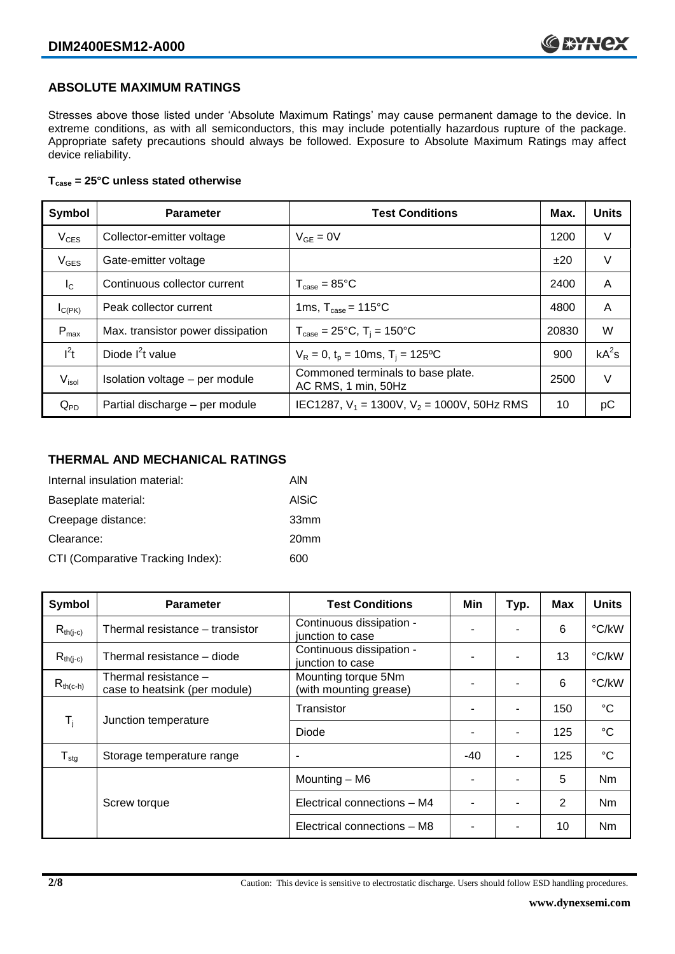#### **ABSOLUTE MAXIMUM RATINGS**

Stresses above those listed under 'Absolute Maximum Ratings' may cause permanent damage to the device. In extreme conditions, as with all semiconductors, this may include potentially hazardous rupture of the package. Appropriate safety precautions should always be followed. Exposure to Absolute Maximum Ratings may affect device reliability.

#### **Tcase = 25°C unless stated otherwise**

| Symbol           | <b>Test Conditions</b><br><b>Parameter</b> |                                                          | Max.  | <b>Units</b> |
|------------------|--------------------------------------------|----------------------------------------------------------|-------|--------------|
| $V_{CES}$        | Collector-emitter voltage                  | $V_{GF} = 0V$                                            | 1200  | V            |
| $V_{GES}$        | Gate-emitter voltage                       |                                                          | ±20   | V            |
| $I_{\rm C}$      | Continuous collector current               | $T_{\text{case}} = 85^{\circ}C$                          | 2400  | A            |
| $I_{C(PK)}$      | Peak collector current                     | 1ms, $T_{\text{case}} = 115^{\circ}$ C                   | 4800  | A            |
| $P_{\text{max}}$ | Max. transistor power dissipation          | $T_{\text{case}} = 25^{\circ}C$ , $T_i = 150^{\circ}C$   | 20830 | W            |
| $I^2t$           | Diode $I^2t$ value                         | $V_R = 0$ , $t_p = 10$ ms, $T_i = 125$ °C                | 900   | $kA^2s$      |
| $V_{\sf isol}$   | Isolation voltage - per module             | Commoned terminals to base plate.<br>AC RMS, 1 min, 50Hz | 2500  | V            |
| $Q_{PD}$         | Partial discharge - per module             | IEC1287, $V_1$ = 1300V, $V_2$ = 1000V, 50Hz RMS          | 10    | рC           |

#### **THERMAL AND MECHANICAL RATINGS**

| Internal insulation material:     | AIN              |
|-----------------------------------|------------------|
| Baseplate material:               | <b>AISiC</b>     |
| Creepage distance:                | 33mm             |
| Clearance:                        | 20 <sub>mm</sub> |
| CTI (Comparative Tracking Index): | 600              |

| Symbol                       | <b>Parameter</b>                                      | <b>Test Conditions</b>                        | Min | Typ. | Max | <b>Units</b>   |
|------------------------------|-------------------------------------------------------|-----------------------------------------------|-----|------|-----|----------------|
| $R_{th(i-c)}$                | Thermal resistance – transistor                       | Continuous dissipation -<br>junction to case  |     |      | 6   | °C/kW          |
| $R_{th(j-c)}$                | Thermal resistance - diode                            | Continuous dissipation -<br>junction to case  |     |      | 13  | °C/kW          |
| $R_{th(c-h)}$                | Thermal resistance -<br>case to heatsink (per module) | Mounting torque 5Nm<br>(with mounting grease) |     |      | 6   | °C/kW          |
| $\mathsf{T}_{\mathsf{i}}$    | Junction temperature                                  | Transistor                                    |     | ۰    | 150 | $^{\circ}C$    |
|                              |                                                       | Diode                                         |     | ۰    | 125 | $^{\circ}C$    |
| ${\mathsf T}_{\textsf{stg}}$ | Storage temperature range                             | $\overline{\phantom{a}}$                      | -40 |      | 125 | $^{\circ}C$    |
|                              |                                                       | Mounting - M6                                 |     |      | 5   | Nm             |
|                              | Screw torque                                          | Electrical connections - M4                   |     |      | 2   | N <sub>m</sub> |
|                              |                                                       | Electrical connections - M8                   | ٠   | ۰    | 10  | Nm             |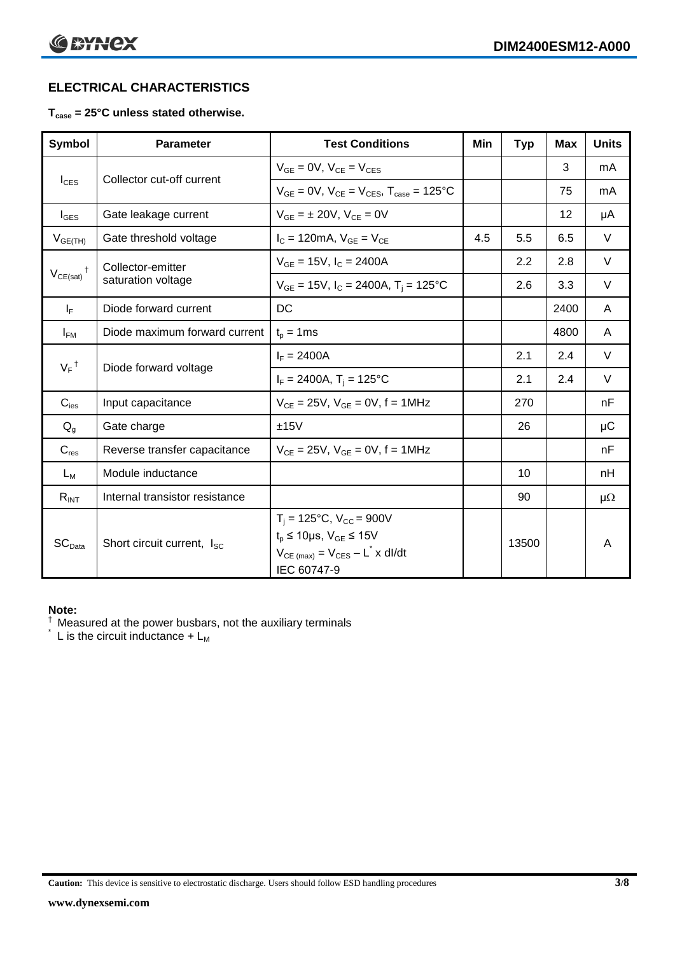# **ELECTRICAL CHARACTERISTICS**

#### **Tcase = 25°C unless stated otherwise.**

| Symbol             | <b>Parameter</b>                       | <b>Test Conditions</b>                                                                                                                                               | Min | <b>Typ</b> | <b>Max</b> | <b>Units</b> |
|--------------------|----------------------------------------|----------------------------------------------------------------------------------------------------------------------------------------------------------------------|-----|------------|------------|--------------|
|                    | Collector cut-off current              | $V_{GE} = 0V$ , $V_{CE} = V_{CES}$                                                                                                                                   |     |            | 3          | mA           |
| $I_{CES}$          |                                        | $V_{GF} = 0V$ , $V_{CF} = V_{CES}$ , $T_{case} = 125^{\circ}C$                                                                                                       |     |            | 75         | mA           |
| $I_{\text{GES}}$   | Gate leakage current                   | $V_{GF} = \pm 20V$ , $V_{CE} = 0V$                                                                                                                                   |     |            | 12         | μA           |
| $V_{GE(TH)}$       | Gate threshold voltage                 | $I_{C} = 120 \text{mA}, V_{GE} = V_{CE}$                                                                                                                             | 4.5 | 5.5        | 6.5        | $\vee$       |
|                    | Collector-emitter                      | $V_{GE}$ = 15V, $I_C$ = 2400A                                                                                                                                        |     | 2.2        | 2.8        | V            |
| $V_{CE(sat)}$      | saturation voltage                     | $V_{GE}$ = 15V, $I_C$ = 2400A, $T_i$ = 125°C                                                                                                                         |     | 2.6        | 3.3        | $\vee$       |
| $I_F$              | Diode forward current                  | DC                                                                                                                                                                   |     |            | 2400       | A            |
| $I_{FM}$           | Diode maximum forward current          | $t_p = 1$ ms                                                                                                                                                         |     |            | 4800       | A            |
|                    |                                        | $I_F = 2400A$                                                                                                                                                        |     | 2.1        | 2.4        | V            |
| $V_F$ <sup>†</sup> | Diode forward voltage                  | $I_F = 2400A$ , $T_i = 125^{\circ}C$                                                                                                                                 |     | 2.1        | 2.4        | V            |
| $C_{\text{ies}}$   | Input capacitance                      | $V_{CE} = 25V$ , $V_{GE} = 0V$ , f = 1MHz                                                                                                                            |     | 270        |            | nF           |
| $Q_g$              | Gate charge                            | ±15V                                                                                                                                                                 |     | 26         |            | μC           |
| $C_{res}$          | Reverse transfer capacitance           | $V_{CF} = 25V$ , $V_{GF} = 0V$ , f = 1MHz                                                                                                                            |     |            |            | nF           |
| $L_M$              | Module inductance                      |                                                                                                                                                                      |     | 10         |            | nH           |
| $R_{INT}$          | Internal transistor resistance         |                                                                                                                                                                      |     | 90         |            | μ $Ω$        |
| SC <sub>Data</sub> | Short circuit current, I <sub>SC</sub> | $T_i = 125$ °C, V <sub>CC</sub> = 900V<br>$t_p \le 10 \mu s$ , $V_{GE} \le 15V$<br>$V_{CE \text{ (max)}} = V_{CES} - L^{\dagger} \times \text{dI/dt}$<br>IEC 60747-9 |     | 13500      |            | A            |

#### **Note:**

 $\dagger$  Measured at the power busbars, not the auxiliary terminals

 $\check{}$  L is the circuit inductance +  $L_M$ 

**Caution:** This device is sensitive to electrostatic discharge. Users should follow ESD handling procedures **3/8**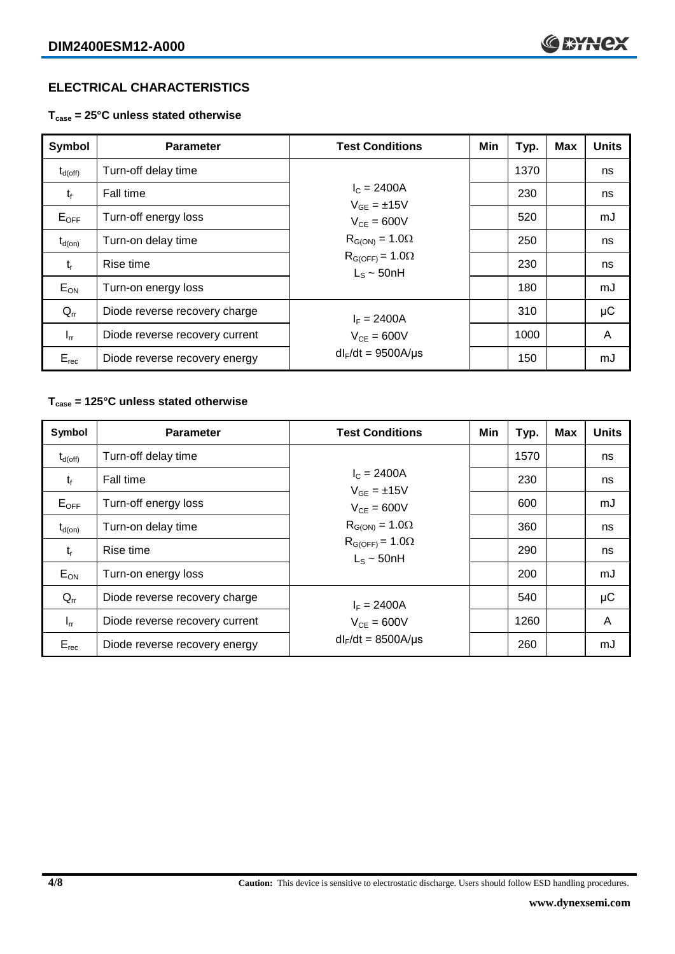## **ELECTRICAL CHARACTERISTICS**

**Tcase = 25°C unless stated otherwise**

| Symbol              | <b>Parameter</b>                               | <b>Test Conditions</b>                                                  | Min | Typ. | <b>Max</b> | <b>Units</b> |
|---------------------|------------------------------------------------|-------------------------------------------------------------------------|-----|------|------------|--------------|
| $t_{d(\text{off})}$ | Turn-off delay time                            |                                                                         |     | 1370 |            | ns           |
| $t_{f}$             | Fall time                                      | $I_c = 2400A$<br>$V_{GF} = \pm 15V$                                     |     | 230  |            | ns           |
| $E_{\mathsf{OFF}}$  | Turn-off energy loss                           | $V_{CF} = 600V$                                                         |     | 520  |            | mJ           |
| $t_{d(on)}$         | Turn-on delay time                             | $R_{G(ON)} = 1.0\Omega$<br>$R_{G(OFF)} = 1.0\Omega$<br>$L_s \sim 50$ nH |     | 250  |            | ns           |
| $t_{r}$             | Rise time                                      |                                                                         |     | 230  |            | ns           |
| $E_{ON}$            | Turn-on energy loss                            |                                                                         |     | 180  |            | mJ           |
| $Q_{rr}$            | Diode reverse recovery charge<br>$I_F = 2400A$ |                                                                         |     | 310  |            | μC           |
| $I_{rr}$            | Diode reverse recovery current                 | $V_{CE} = 600V$                                                         |     | 1000 |            | A            |
| $E_{rec}$           | Diode reverse recovery energy                  | $dl_F/dt = 9500A/\mu s$                                                 |     | 150  |            | mJ           |

#### **Tcase = 125°C unless stated otherwise**

| Symbol              | <b>Parameter</b>               | <b>Test Conditions</b>                                                  | Min | Typ. | <b>Max</b> | <b>Units</b> |
|---------------------|--------------------------------|-------------------------------------------------------------------------|-----|------|------------|--------------|
| $t_{d(\text{off})}$ | Turn-off delay time            |                                                                         |     | 1570 |            | ns           |
| $t_{f}$             | Fall time                      | $I_c = 2400A$<br>$V_{GF} = \pm 15V$                                     |     | 230  |            | ns           |
| $E_{OFF}$           | Turn-off energy loss           | $V_{CF} = 600V$                                                         |     | 600  |            | mJ           |
| $t_{d(on)}$         | Turn-on delay time             | $R_{G(ON)} = 1.0\Omega$<br>$R_{G(OFF)} = 1.0\Omega$<br>$L_s \sim 50$ nH |     | 360  |            | ns           |
| $t_{r}$             | Rise time                      |                                                                         |     | 290  |            | ns           |
| $E_{ON}$            | Turn-on energy loss            |                                                                         |     | 200  |            | mJ           |
| $Q_{rr}$            | Diode reverse recovery charge  | $I_F = 2400A$                                                           |     | 540  |            | μC           |
| $I_{rr}$            | Diode reverse recovery current | $V_{CF} = 600V$                                                         |     | 1260 |            | A            |
| $E_{rec}$           | Diode reverse recovery energy  | $dl_F/dt = 8500A/\mu s$                                                 |     | 260  |            | mJ           |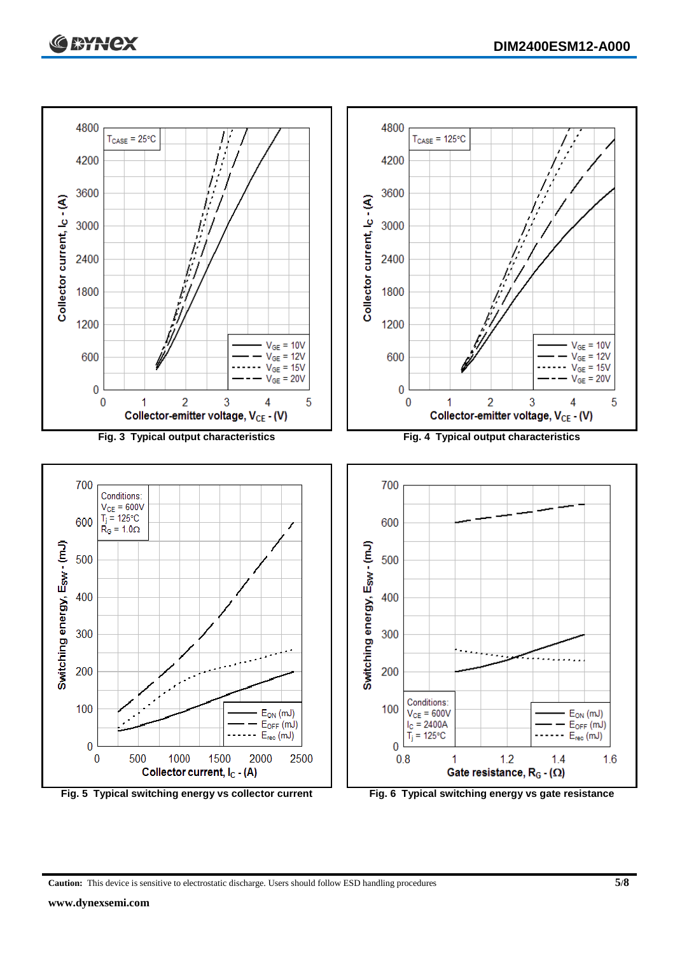



**Caution:** This device is sensitive to electrostatic discharge. Users should follow ESD handling procedures **5/8**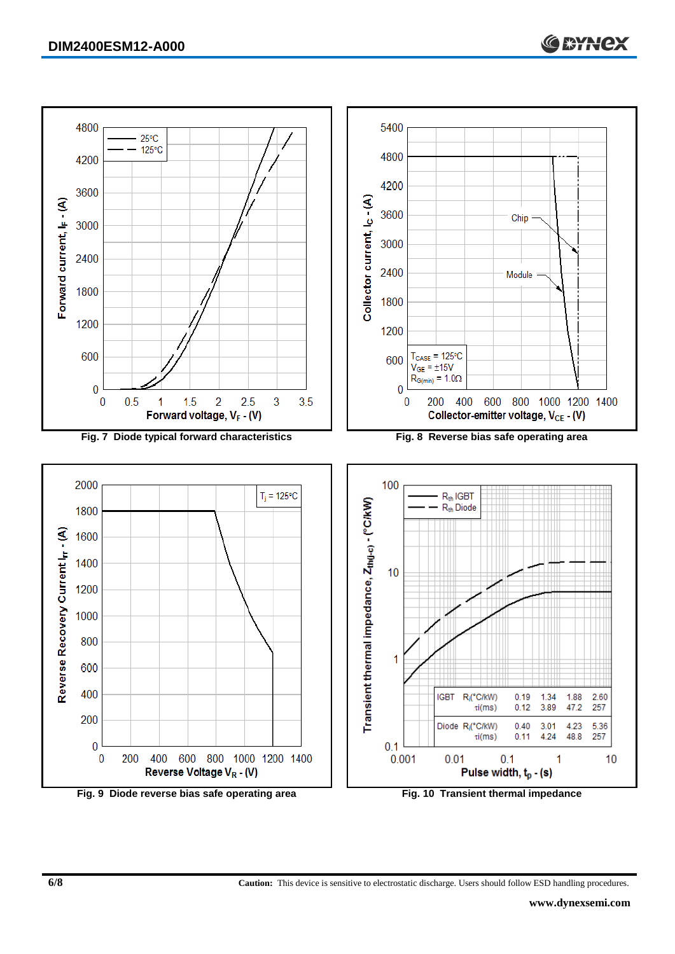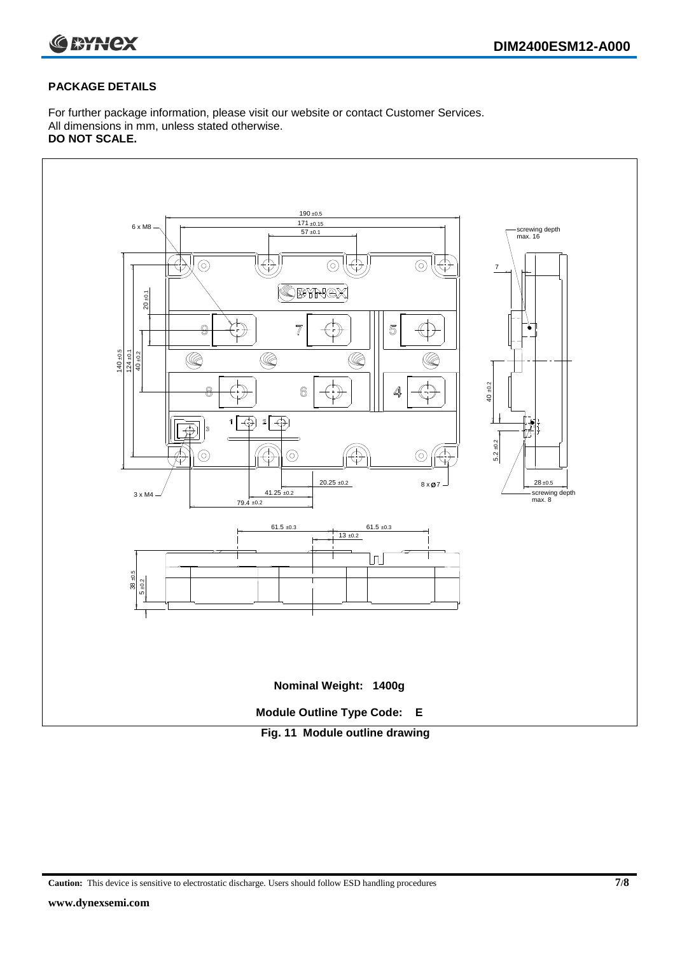

#### **PACKAGE DETAILS**

For further package information, please visit our website or contact Customer Services. All dimensions in mm, unless stated otherwise. **DO NOT SCALE.**



**Caution:** This device is sensitive to electrostatic discharge. Users should follow ESD handling procedures **7/8**